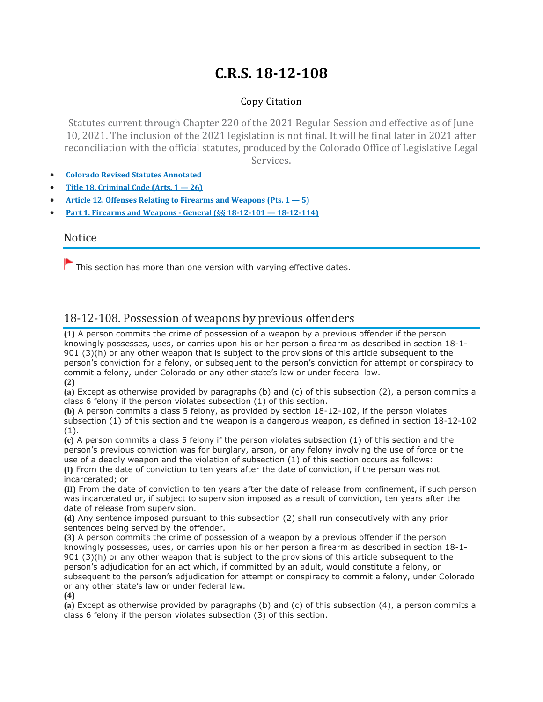# **C.R.S. 18-12-108**

### Copy Citation

Statutes current through Chapter 220 of the 2021 Regular Session and effective as of June 10, 2021. The inclusion of the 2021 legislation is not final. It will be final later in 2021 after reconciliation with the official statutes, produced by the Colorado Office of Legislative Legal Services.

- **Colorado Revised Statutes [Annotated](https://advance.lexis.com/documentpage/?pdmfid=1000516&crid=aacfc1fb-98f4-42d6-904b-6186db28a4be&pdistocdocslideraccess=true&config=014FJAAyNGJkY2Y4Zi1mNjgyLTRkN2YtYmE4OS03NTYzNzYzOTg0OGEKAFBvZENhdGFsb2d592qv2Kywlf8caKqYROP5&pddocfullpath=%2Fshared%2Fdocument%2Fstatutes-legislation%2Furn%3AcontentItem%3A61P5-WSW1-DYDC-J3CJ-00008-00&pdcomponentid=234177&pdtocnodeidentifier=AASAAWAABAAP&ecomp=sssdkkk&prid=c34ae66f-327f-4204-a19f-e874cece17c6)**
- **Title 18. [Criminal](https://advance.lexis.com/documentpage/?pdmfid=1000516&crid=aacfc1fb-98f4-42d6-904b-6186db28a4be&pdistocdocslideraccess=true&config=014FJAAyNGJkY2Y4Zi1mNjgyLTRkN2YtYmE4OS03NTYzNzYzOTg0OGEKAFBvZENhdGFsb2d592qv2Kywlf8caKqYROP5&pddocfullpath=%2Fshared%2Fdocument%2Fstatutes-legislation%2Furn%3AcontentItem%3A61P5-WSW1-DYDC-J3CJ-00008-00&pdcomponentid=234177&pdtocnodeidentifier=AASAAWAABAAP&ecomp=sssdkkk&prid=c34ae66f-327f-4204-a19f-e874cece17c6) Code (Arts. 1 — 26)**
- **Article 12. Offenses Relating to Firearms and [Weapons](https://advance.lexis.com/documentpage/?pdmfid=1000516&crid=aacfc1fb-98f4-42d6-904b-6186db28a4be&pdistocdocslideraccess=true&config=014FJAAyNGJkY2Y4Zi1mNjgyLTRkN2YtYmE4OS03NTYzNzYzOTg0OGEKAFBvZENhdGFsb2d592qv2Kywlf8caKqYROP5&pddocfullpath=%2Fshared%2Fdocument%2Fstatutes-legislation%2Furn%3AcontentItem%3A61P5-WSW1-DYDC-J3CJ-00008-00&pdcomponentid=234177&pdtocnodeidentifier=AASAAWAABAAP&ecomp=sssdkkk&prid=c34ae66f-327f-4204-a19f-e874cece17c6) (Pts. 1 — 5)**
- **Part 1. Firearms and Weapons - General (§§ 18-12-101 — [18-12-114\)](https://advance.lexis.com/documentpage/?pdmfid=1000516&crid=aacfc1fb-98f4-42d6-904b-6186db28a4be&pdistocdocslideraccess=true&config=014FJAAyNGJkY2Y4Zi1mNjgyLTRkN2YtYmE4OS03NTYzNzYzOTg0OGEKAFBvZENhdGFsb2d592qv2Kywlf8caKqYROP5&pddocfullpath=%2Fshared%2Fdocument%2Fstatutes-legislation%2Furn%3AcontentItem%3A61P5-WSW1-DYDC-J3CJ-00008-00&pdcomponentid=234177&pdtocnodeidentifier=AASAAWAABAAP&ecomp=sssdkkk&prid=c34ae66f-327f-4204-a19f-e874cece17c6)**

#### Notice

 $\blacktriangleright$  This section has more than one version with varying effective dates.

# 18-12-108. Possession of weapons by previous offenders

**(1)** A person commits the crime of possession of a weapon by a previous offender if the person knowingly possesses, uses, or carries upon his or her person a firearm as described in section 18-1- 901 (3)(h) or any other weapon that is subject to the provisions of this article subsequent to the person's conviction for a felony, or subsequent to the person's conviction for attempt or conspiracy to commit a felony, under Colorado or any other state's law or under federal law. **(2)**

**(a)** Except as otherwise provided by paragraphs (b) and (c) of this subsection (2), a person commits a class 6 felony if the person violates subsection (1) of this section.

**(b)** A person commits a class 5 felony, as provided by section 18-12-102, if the person violates subsection (1) of this section and the weapon is a dangerous weapon, as defined in section 18-12-102 (1).

**(c)** A person commits a class 5 felony if the person violates subsection (1) of this section and the person's previous conviction was for burglary, arson, or any felony involving the use of force or the use of a deadly weapon and the violation of subsection (1) of this section occurs as follows: **(I)** From the date of conviction to ten years after the date of conviction, if the person was not

incarcerated; or **(II)** From the date of conviction to ten years after the date of release from confinement, if such person was incarcerated or, if subject to supervision imposed as a result of conviction, ten years after the

date of release from supervision. **(d)** Any sentence imposed pursuant to this subsection (2) shall run consecutively with any prior sentences being served by the offender.

**(3)** A person commits the crime of possession of a weapon by a previous offender if the person knowingly possesses, uses, or carries upon his or her person a firearm as described in section 18-1- 901 (3)(h) or any other weapon that is subject to the provisions of this article subsequent to the person's adjudication for an act which, if committed by an adult, would constitute a felony, or subsequent to the person's adjudication for attempt or conspiracy to commit a felony, under Colorado or any other state's law or under federal law.

**(4)**

**(a)** Except as otherwise provided by paragraphs (b) and (c) of this subsection (4), a person commits a class 6 felony if the person violates subsection (3) of this section.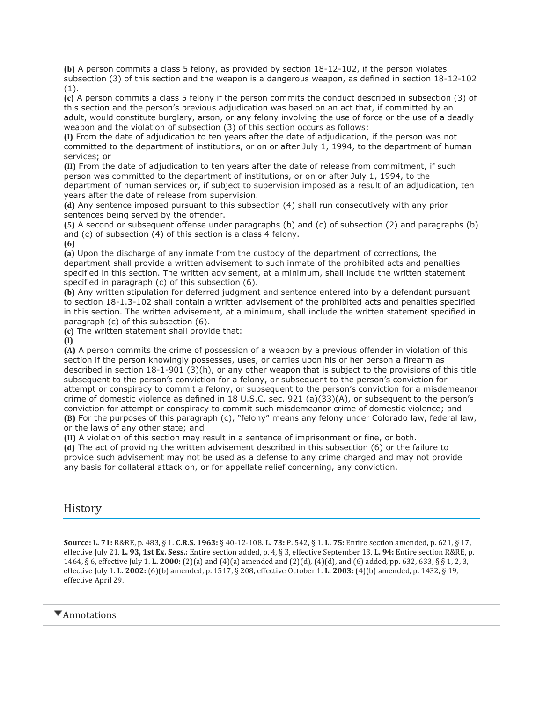**(b)** A person commits a class 5 felony, as provided by section 18-12-102, if the person violates subsection (3) of this section and the weapon is a dangerous weapon, as defined in section 18-12-102 (1).

**(c)** A person commits a class 5 felony if the person commits the conduct described in subsection (3) of this section and the person's previous adjudication was based on an act that, if committed by an adult, would constitute burglary, arson, or any felony involving the use of force or the use of a deadly weapon and the violation of subsection (3) of this section occurs as follows:

**(I)** From the date of adjudication to ten years after the date of adjudication, if the person was not committed to the department of institutions, or on or after July 1, 1994, to the department of human services; or

**(II)** From the date of adjudication to ten years after the date of release from commitment, if such person was committed to the department of institutions, or on or after July 1, 1994, to the department of human services or, if subject to supervision imposed as a result of an adjudication, ten years after the date of release from supervision.

**(d)** Any sentence imposed pursuant to this subsection (4) shall run consecutively with any prior sentences being served by the offender.

**(5)** A second or subsequent offense under paragraphs (b) and (c) of subsection (2) and paragraphs (b) and (c) of subsection (4) of this section is a class 4 felony.

**(6)**

**(a)** Upon the discharge of any inmate from the custody of the department of corrections, the department shall provide a written advisement to such inmate of the prohibited acts and penalties specified in this section. The written advisement, at a minimum, shall include the written statement specified in paragraph (c) of this subsection (6).

**(b)** Any written stipulation for deferred judgment and sentence entered into by a defendant pursuant to section 18-1.3-102 shall contain a written advisement of the prohibited acts and penalties specified in this section. The written advisement, at a minimum, shall include the written statement specified in paragraph (c) of this subsection (6).

**(c)** The written statement shall provide that:

**(I)**

**(A)** A person commits the crime of possession of a weapon by a previous offender in violation of this section if the person knowingly possesses, uses, or carries upon his or her person a firearm as described in section 18-1-901 (3)(h), or any other weapon that is subject to the provisions of this title subsequent to the person's conviction for a felony, or subsequent to the person's conviction for attempt or conspiracy to commit a felony, or subsequent to the person's conviction for a misdemeanor crime of domestic violence as defined in 18 U.S.C. sec. 921 (a)(33)(A), or subsequent to the person's conviction for attempt or conspiracy to commit such misdemeanor crime of domestic violence; and **(B)** For the purposes of this paragraph (c), "felony" means any felony under Colorado law, federal law, or the laws of any other state; and

**(II)** A violation of this section may result in a sentence of imprisonment or fine, or both.

**(d)** The act of providing the written advisement described in this subsection (6) or the failure to provide such advisement may not be used as a defense to any crime charged and may not provide any basis for collateral attack on, or for appellate relief concerning, any conviction.

## History

**Source: L. 71:** R&RE, p. 483, § 1. **C.R.S. 1963:** § 40-12-108. **L. 73:** P. 542, § 1. **L. 75:** Entire section amended, p. 621, § 17, effective July 21. **L. 93, 1st Ex. Sess.:** Entire section added, p. 4, § 3, effective September 13. **L. 94:** Entire section R&RE, p. 1464, § 6, effective July 1. **L. 2000:** (2)(a) and (4)(a) amended and (2)(d), (4)(d), and (6) added, pp. 632, 633, § § 1, 2, 3, effective July 1. **L. 2002:** (6)(b) amended, p. 1517, § 208, effective October 1. **L. 2003:** (4)(b) amended, p. 1432, § 19, effective April 29.

**Annotations**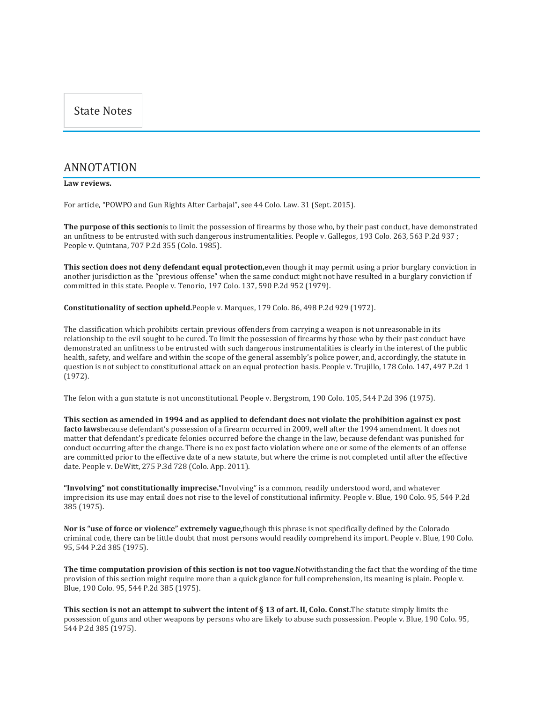#### ANNOTATION

#### **Law reviews.**

For article, "POWPO and Gun Rights After Carbajal", see 44 Colo. Law. 31 (Sept. 2015).

**The purpose of this section**is to limit the possession of firearms by those who, by their past conduct, have demonstrated an unfitness to be entrusted with such dangerous instrumentalities. People v. Gallegos, 193 Colo. 263, 563 P.2d 937 ; People v. Quintana, 707 P.2d 355 (Colo. 1985).

**This section does not deny defendant equal protection,**even though it may permit using a prior burglary conviction in another jurisdiction as the "previous offense" when the same conduct might not have resulted in a burglary conviction if committed in this state. People v. Tenorio, 197 Colo. 137, 590 P.2d 952 (1979).

**Constitutionality of section upheld.**People v. Marques, 179 Colo. 86, 498 P.2d 929 (1972).

The classification which prohibits certain previous offenders from carrying a weapon is not unreasonable in its relationship to the evil sought to be cured. To limit the possession of firearms by those who by their past conduct have demonstrated an unfitness to be entrusted with such dangerous instrumentalities is clearly in the interest of the public health, safety, and welfare and within the scope of the general assembly's police power, and, accordingly, the statute in question is not subject to constitutional attack on an equal protection basis. People v. Trujillo, 178 Colo. 147, 497 P.2d 1 (1972).

The felon with a gun statute is not unconstitutional. People v. Bergstrom, 190 Colo. 105, 544 P.2d 396 (1975).

This section as amended in 1994 and as applied to defendant does not violate the prohibition against ex post **facto laws**because defendant's possession of a firearm occurred in 2009, well after the 1994 amendment. It does not matter that defendant's predicate felonies occurred before the change in the law, because defendant was punished for conduct occurring after the change. There is no ex post facto violation where one or some of the elements of an offense are committed prior to the effective date of a new statute, but where the crime is not completed until after the effective date. People v. DeWitt, 275 P.3d 728 (Colo. App. 2011).

**"Involving" not constitutionally imprecise.**"Involving" is a common, readily understood word, and whatever imprecision its use may entail does not rise to the level of constitutional infirmity. People v. Blue, 190 Colo. 95, 544 P.2d 385 (1975).

**Nor is "use of force or violence" extremely vague,**though this phrase is not specifically defined by the Colorado criminal code, there can be little doubt that most persons would readily comprehend its import. People v. Blue, 190 Colo. 95, 544 P.2d 385 (1975).

**The time computation provision of this section is not too vague.**Notwithstanding the fact that the wording of the time provision of this section might require more than a quick glance for full comprehension, its meaning is plain. People v. Blue, 190 Colo. 95, 544 P.2d 385 (1975).

This section is not an attempt to subvert the intent of  $\S 13$  of art. II, Colo. Const. The statute simply limits the possession of guns and other weapons by persons who are likely to abuse such possession. People v. Blue, 190 Colo. 95, 544 P.2d 385 (1975).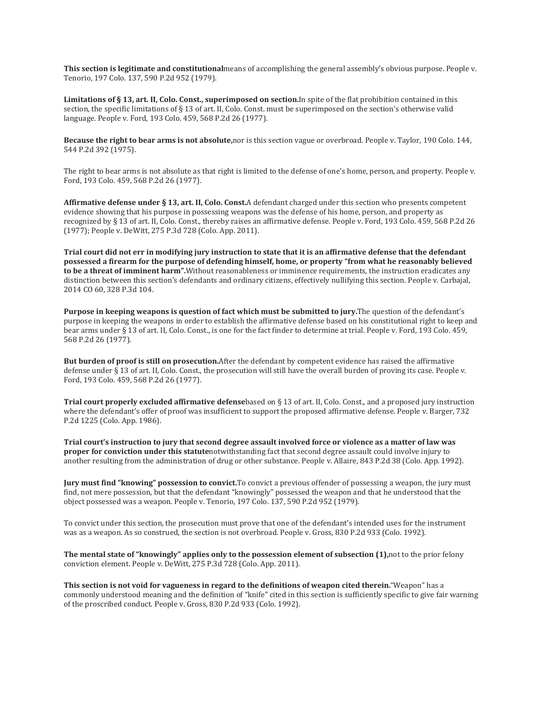**This section is legitimate and constitutional**means of accomplishing the general assembly's obvious purpose. People v. Tenorio, 197 Colo. 137, 590 P.2d 952 (1979).

**Limitations of § 13, art. II, Colo. Const., superimposed on section.**In spite of the flat prohibition contained in this section, the specific limitations of § 13 of art. II, Colo. Const. must be superimposed on the section's otherwise valid language. People v. Ford, 193 Colo. 459, 568 P.2d 26 (1977).

**Because the right to bear arms is not absolute,**nor is this section vague or overbroad. People v. Taylor, 190 Colo. 144, 544 P.2d 392 (1975).

The right to bear arms is not absolute as that right is limited to the defense of one's home, person, and property. People v. Ford, 193 Colo. 459, 568 P.2d 26 (1977).

**Affirmative defense under § 13, art. II, Colo. Const.**A defendant charged under this section who presents competent evidence showing that his purpose in possessing weapons was the defense of his home, person, and property as recognized by § 13 of art. II, Colo. Const., thereby raises an affirmative defense. People v. Ford, 193 Colo. 459, 568 P.2d 26 (1977); People v. DeWitt, 275 P.3d 728 (Colo. App. 2011).

Trial court did not err in modifying jury instruction to state that it is an affirmative defense that the defendant possessed a firearm for the purpose of defending himself, home, or property "from what he reasonably believed **to be a threat of imminent harm".**Without reasonableness or imminence requirements, the instruction eradicates any distinction between this section's defendants and ordinary citizens, effectively nullifying this section. People v. Carbajal, 2014 CO 60, 328 P.3d 104.

**Purpose in keeping weapons is question of fact which must be submitted to jury.**The question of the defendant's purpose in keeping the weapons in order to establish the affirmative defense based on his constitutional right to keep and bear arms under § 13 of art. II, Colo. Const., is one for the fact finder to determine at trial. People v. Ford, 193 Colo. 459, 568 P.2d 26 (1977).

**But burden of proof is still on prosecution.**After the defendant by competent evidence has raised the affirmative defense under § 13 of art. II, Colo. Const., the prosecution will still have the overall burden of proving its case. People v. Ford, 193 Colo. 459, 568 P.2d 26 (1977).

**Trial court properly excluded affirmative defense**based on § 13 of art. II, Colo. Const., and a proposed jury instruction where the defendant's offer of proof was insufficient to support the proposed affirmative defense. People v. Barger, 732 P.2d 1225 (Colo. App. 1986).

Trial court's instruction to jury that second degree assault involved force or violence as a matter of law was **proper for conviction under this statute**notwithstanding fact that second degree assault could involve injury to another resulting from the administration of drug or other substance. People v. Allaire, 843 P.2d 38 (Colo. App. 1992).

**Jury must find "knowing" possession to convict.**To convict a previous offender of possessing a weapon, the jury must find, not mere possession, but that the defendant "knowingly" possessed the weapon and that he understood that the object possessed was a weapon. People v. Tenorio, 197 Colo. 137, 590 P.2d 952 (1979).

To convict under this section, the prosecution must prove that one of the defendant's intended uses for the instrument was as a weapon. As so construed, the section is not overbroad. People v. Gross, 830 P.2d 933 (Colo. 1992).

**The mental state of "knowingly" applies only to the possession element of subsection (1),**not to the prior felony conviction element. People v. DeWitt, 275 P.3d 728 (Colo. App. 2011).

**This section is not void for vagueness in regard to the definitions of weapon cited therein.**"Weapon" has a commonly understood meaning and the definition of "knife" cited in this section is sufficiently specific to give fair warning of the proscribed conduct. People v. Gross, 830 P.2d 933 (Colo. 1992).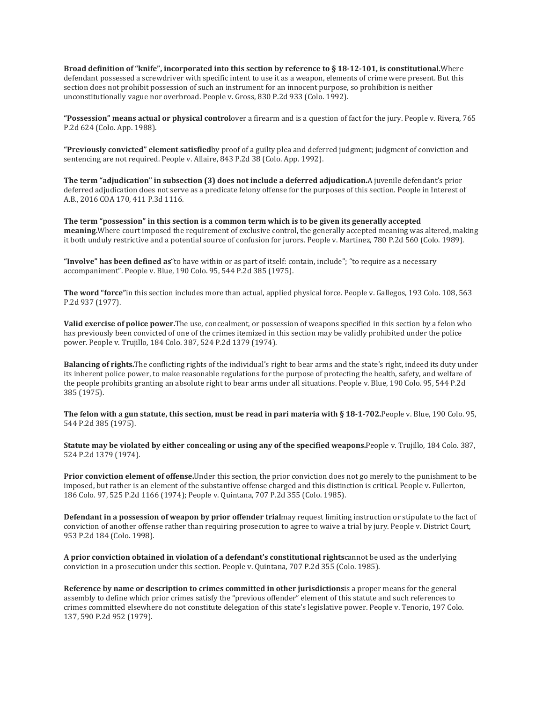**Broad definition of "knife", incorporated into this section by reference to § 18-12-101, is constitutional.**Where defendant possessed a screwdriver with specific intent to use it as a weapon, elements of crime were present. But this section does not prohibit possession of such an instrument for an innocent purpose, so prohibition is neither unconstitutionally vague nor overbroad. People v. Gross, 830 P.2d 933 (Colo. 1992).

**"Possession" means actual or physical control**over a firearm and is a question of fact for the jury. People v. Rivera, 765 P.2d 624 (Colo. App. 1988).

**"Previously convicted" element satisfied**by proof of a guilty plea and deferred judgment; judgment of conviction and sentencing are not required. People v. Allaire, 843 P.2d 38 (Colo. App. 1992).

**The term "adjudication" in subsection (3) does not include a deferred adjudication.**A juvenile defendant's prior deferred adjudication does not serve as a predicate felony offense for the purposes of this section. People in Interest of A.B., 2016 COA 170, 411 P.3d 1116.

**The term "possession" in this section is a common term which is to be given its generally accepted meaning.**Where court imposed the requirement of exclusive control, the generally accepted meaning was altered, making it both unduly restrictive and a potential source of confusion for jurors. People v. Martinez, 780 P.2d 560 (Colo. 1989).

**"Involve" has been defined as**"to have within or as part of itself: contain, include"; "to require as a necessary accompaniment". People v. Blue, 190 Colo. 95, 544 P.2d 385 (1975).

**The word "force"**in this section includes more than actual, applied physical force. People v. Gallegos, 193 Colo. 108, 563 P.2d 937 (1977).

**Valid exercise of police power.**The use, concealment, or possession of weapons specified in this section by a felon who has previously been convicted of one of the crimes itemized in this section may be validly prohibited under the police power. People v. Trujillo, 184 Colo. 387, 524 P.2d 1379 (1974).

**Balancing of rights.**The conflicting rights of the individual's right to bear arms and the state's right, indeed its duty under its inherent police power, to make reasonable regulations for the purpose of protecting the health, safety, and welfare of the people prohibits granting an absolute right to bear arms under all situations. People v. Blue, 190 Colo. 95, 544 P.2d 385 (1975).

The felon with a gun statute, this section, must be read in pari materia with § 18-1-702. People v. Blue, 190 Colo. 95, 544 P.2d 385 (1975).

**Statute may be violated by either concealing or using any of the specified weapons.**People v. Trujillo, 184 Colo. 387, 524 P.2d 1379 (1974).

**Prior conviction element of offense.**Under this section, the prior conviction does not go merely to the punishment to be imposed, but rather is an element of the substantive offense charged and this distinction is critical. People v. Fullerton, 186 Colo. 97, 525 P.2d 1166 (1974); People v. Quintana, 707 P.2d 355 (Colo. 1985).

**Defendant in a possession of weapon by prior offender trial**may request limiting instruction or stipulate to the fact of conviction of another offense rather than requiring prosecution to agree to waive a trial by jury. People v. District Court, 953 P.2d 184 (Colo. 1998).

**A prior conviction obtained in violation of a defendant's constitutional rights**cannot be used as the underlying conviction in a prosecution under this section. People v. Quintana, 707 P.2d 355 (Colo. 1985).

**Reference by name or description to crimes committed in other jurisdictions**is a proper means for the general assembly to define which prior crimes satisfy the "previous offender" element of this statute and such references to crimes committed elsewhere do not constitute delegation of this state's legislative power. People v. Tenorio, 197 Colo. 137, 590 P.2d 952 (1979).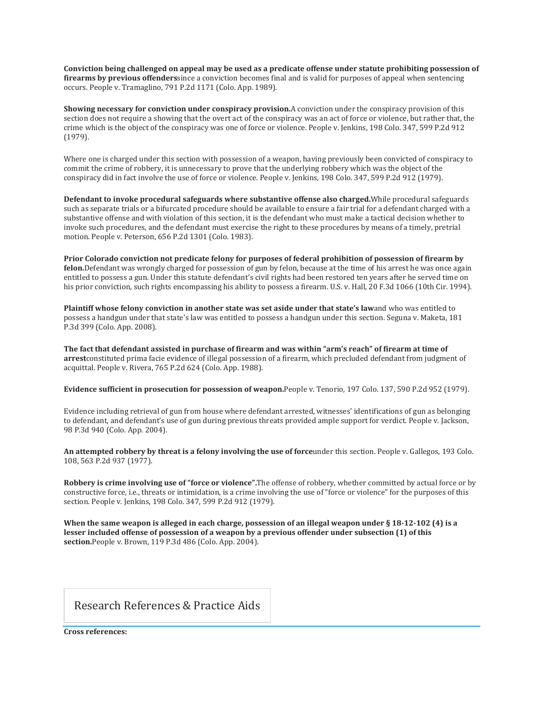Conviction being challenged on appeal may be used as a predicate offense under statute prohibiting possession of **firearms by previous offenders**since a conviction becomes final and is valid for purposes of appeal when sentencing occurs. People v. Tramaglino, 791 P.2d 1171 (Colo. App. 1989).

**Showing necessary for conviction under conspiracy provision.**A conviction under the conspiracy provision of this section does not require a showing that the overt act of the conspiracy was an act of force or violence, but rather that, the crime which is the object of the conspiracy was one of force or violence. People v. Jenkins, 198 Colo. 347, 599 P.2d 912 (1979).

Where one is charged under this section with possession of a weapon, having previously been convicted of conspiracy to commit the crime of robbery, it is unnecessary to prove that the underlying robbery which was the object of the conspiracy did in fact involve the use of force or violence. People v. Jenkins, 198 Colo. 347, 599 P.2d 912 (1979).

**Defendant to invoke procedural safeguards where substantive offense also charged.**While procedural safeguards such as separate trials or a bifurcated procedure should be available to ensure a fair trial for a defendant charged with a substantive offense and with violation of this section, it is the defendant who must make a tactical decision whether to invoke such procedures, and the defendant must exercise the right to these procedures by means of a timely, pretrial motion. People v. Peterson, 656 P.2d 1301 (Colo. 1983).

**Prior Colorado conviction not predicate felony for purposes of federal prohibition of possession of firearm by felon.**Defendant was wrongly charged for possession of gun by felon, because at the time of his arrest he was once again entitled to possess a gun. Under this statute defendant's civil rights had been restored ten years after he served time on his prior conviction, such rights encompassing his ability to possess a firearm. U.S. v. Hall, 20 F.3d 1066 (10th Cir. 1994).

**Plaintiff whose felony conviction in another state was set aside under that state's law**and who was entitled to possess a handgun under that state's law was entitled to possess a handgun under this section. Seguna v. Maketa, 181 P.3d 399 (Colo. App. 2008).

The fact that defendant assisted in purchase of firearm and was within "arm's reach" of firearm at time of **arrest**constituted prima facie evidence of illegal possession of a firearm, which precluded defendant from judgment of acquittal. People v. Rivera, 765 P.2d 624 (Colo. App. 1988).

**Evidence sufficient in prosecution for possession of weapon.**People v. Tenorio, 197 Colo. 137, 590 P.2d 952 (1979).

Evidence including retrieval of gun from house where defendant arrested, witnesses' identifications of gun as belonging to defendant, and defendant's use of gun during previous threats provided ample support for verdict. People v. Jackson, 98 P.3d 940 (Colo. App. 2004).

**An attempted robbery by threat is a felony involving the use of force**under this section. People v. Gallegos, 193 Colo. 108, 563 P.2d 937 (1977).

**Robbery is crime involving use of "force or violence".**The offense of robbery, whether committed by actual force or by constructive force, i.e., threats or intimidation, is a crime involving the use of "force or violence" for the purposes of this section. People v. Jenkins, 198 Colo. 347, 599 P.2d 912 (1979).

When the same weapon is alleged in each charge, possession of an illegal weapon under  $\S 18-12-102$  (4) is a **lesser included offense of possession of a weapon by a previous offender under subsection (1) of this section.**People v. Brown, 119 P.3d 486 (Colo. App. 2004).

Research References & Practice Aids

**Cross references:**